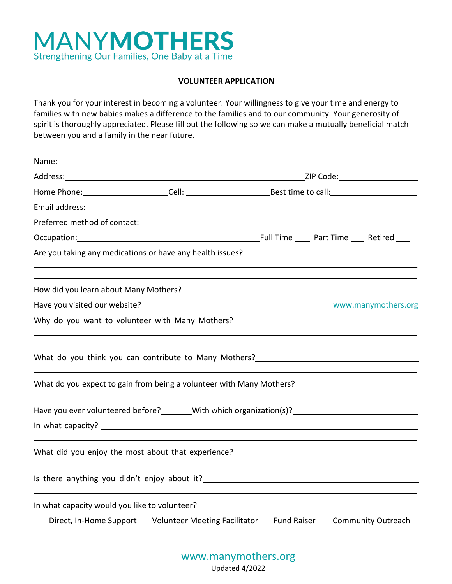

#### **VOLUNTEER APPLICATION**

Thank you for your interest in becoming a volunteer. Your willingness to give your time and energy to families with new babies makes a difference to the families and to our community. Your generosity of spirit is thoroughly appreciated. Please fill out the following so we can make a mutually beneficial match between you and a family in the near future.

| Occupation: Material Contract Part Time Part Time _____ Retired _____ Decupation:                                                                                                                                             |  |  |  |  |  |
|-------------------------------------------------------------------------------------------------------------------------------------------------------------------------------------------------------------------------------|--|--|--|--|--|
| Are you taking any medications or have any health issues?                                                                                                                                                                     |  |  |  |  |  |
| How did you learn about Many Mothers? Notice and the state of the state of the state of the state of the state of the state of the state of the state of the state of the state of the state of the state of the state of the |  |  |  |  |  |
|                                                                                                                                                                                                                               |  |  |  |  |  |
| Why do you want to volunteer with Many Mothers?__________________________________                                                                                                                                             |  |  |  |  |  |
| What do you think you can contribute to Many Mothers? __________________________                                                                                                                                              |  |  |  |  |  |
| What do you expect to gain from being a volunteer with Many Mothers?<br>What do you expect to gain from being a volunteer with Many Mothers?                                                                                  |  |  |  |  |  |
| Have you ever volunteered before? Mith which organization(s)?                                                                                                                                                                 |  |  |  |  |  |
| What did you enjoy the most about that experience? _____________________________                                                                                                                                              |  |  |  |  |  |
|                                                                                                                                                                                                                               |  |  |  |  |  |
| In what capacity would you like to volunteer?<br>Direct, In-Home Support____Volunteer Meeting Facilitator____Fund Raiser____Community Outreach                                                                                |  |  |  |  |  |

www.manymothers.org

Updated 4/2022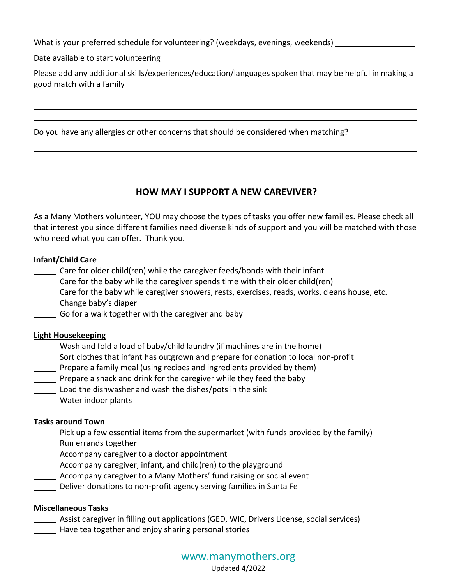What is your preferred schedule for volunteering? (weekdays, evenings, weekends) \_\_\_\_\_\_\_

Date available to start volunteering

Please add any additional skills/experiences/education/languages spoken that may be helpful in making a good match with a family

Do you have any allergies or other concerns that should be considered when matching?

# **HOW MAY I SUPPORT A NEW CAREVIVER?**

As a Many Mothers volunteer, YOU may choose the types of tasks you offer new families. Please check all that interest you since different families need diverse kinds of support and you will be matched with those who need what you can offer. Thank you.

# **Infant/Child Care**

- Care for older child(ren) while the caregiver feeds/bonds with their infant
- Care for the baby while the caregiver spends time with their older child(ren)
- Care for the baby while caregiver showers, rests, exercises, reads, works, cleans house, etc.
- Change baby's diaper
- Go for a walk together with the caregiver and baby

### **Light Housekeeping**

- Wash and fold a load of baby/child laundry (if machines are in the home)
- Sort clothes that infant has outgrown and prepare for donation to local non-profit
- Prepare a family meal (using recipes and ingredients provided by them)
- Prepare a snack and drink for the caregiver while they feed the baby
- Load the dishwasher and wash the dishes/pots in the sink
- Water indoor plants

### **Tasks around Town**

- Pick up a few essential items from the supermarket (with funds provided by the family)
- **Nun errands together**
- **Accompany caregiver to a doctor appointment**
- Accompany caregiver, infant, and child(ren) to the playground
- Accompany caregiver to a Many Mothers' fund raising or social event
- Deliver donations to non-profit agency serving families in Santa Fe

# **Miscellaneous Tasks**

- Assist caregiver in filling out applications (GED, WIC, Drivers License, social services)
- **Have tea together and enjoy sharing personal stories**

# www.manymothers.org

Updated 4/2022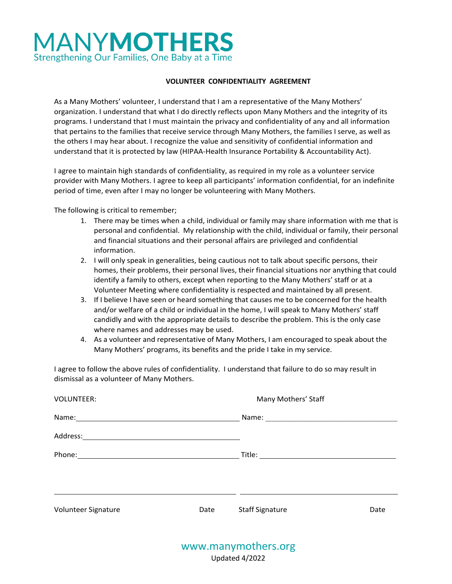# **MANYMOTHERS** Strengthening Our Families, One Baby at a Time

#### **VOLUNTEER CONFIDENTIALITY AGREEMENT**

As a Many Mothers' volunteer, I understand that I am a representative of the Many Mothers' organization. I understand that what I do directly reflects upon Many Mothers and the integrity of its programs. I understand that I must maintain the privacy and confidentiality of any and all information that pertains to the families that receive service through Many Mothers, the families I serve, as well as the others I may hear about. I recognize the value and sensitivity of confidential information and understand that it is protected by law (HIPAA-Health Insurance Portability & Accountability Act).

I agree to maintain high standards of confidentiality, as required in my role as a volunteer service provider with Many Mothers. I agree to keep all participants' information confidential, for an indefinite period of time, even after I may no longer be volunteering with Many Mothers.

The following is critical to remember;

- 1. There may be times when a child, individual or family may share information with me that is personal and confidential. My relationship with the child, individual or family, their personal and financial situations and their personal affairs are privileged and confidential information.
- 2. I will only speak in generalities, being cautious not to talk about specific persons, their homes, their problems, their personal lives, their financial situations nor anything that could identify a family to others, except when reporting to the Many Mothers' staff or at a Volunteer Meeting where confidentiality is respected and maintained by all present.
- 3. If I believe I have seen or heard something that causes me to be concerned for the health and/or welfare of a child or individual in the home, I will speak to Many Mothers' staff candidly and with the appropriate details to describe the problem. This is the only case where names and addresses may be used.
- 4. As a volunteer and representative of Many Mothers, I am encouraged to speak about the Many Mothers' programs, its benefits and the pride I take in my service.

I agree to follow the above rules of confidentiality. I understand that failure to do so may result in dismissal as a volunteer of Many Mothers.

| <b>VOLUNTEER:</b>   |      | Many Mothers' Staff    |      |  |  |
|---------------------|------|------------------------|------|--|--|
|                     |      |                        |      |  |  |
|                     |      |                        |      |  |  |
|                     |      |                        |      |  |  |
|                     |      |                        |      |  |  |
|                     |      |                        |      |  |  |
| Volunteer Signature | Date | <b>Staff Signature</b> | Date |  |  |
|                     |      |                        |      |  |  |
|                     |      | www.manymothers.org    |      |  |  |

Updated 4/2022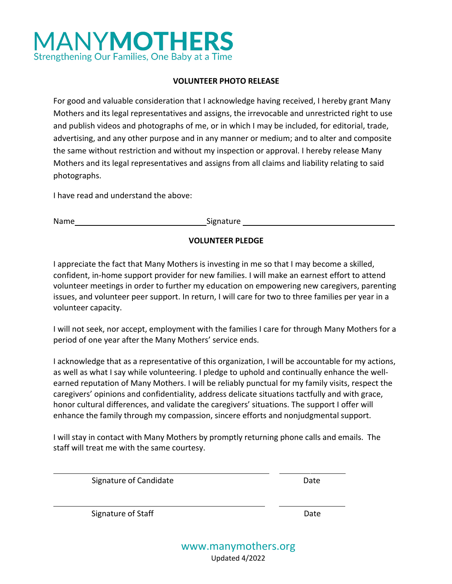# **MANYMOTHERS** Strengthening Our Families, One Baby at a Time

### **VOLUNTEER PHOTO RELEASE**

For good and valuable consideration that I acknowledge having received, I hereby grant Many Mothers and its legal representatives and assigns, the irrevocable and unrestricted right to use and publish videos and photographs of me, or in which I may be included, for editorial, trade, advertising, and any other purpose and in any manner or medium; and to alter and composite the same without restriction and without my inspection or approval. I hereby release Many Mothers and its legal representatives and assigns from all claims and liability relating to said photographs.

I have read and understand the above:

Name Signature Signature Signature Signature Signature Signature Signature Signature Signature Signature Signature Signature Signature Signature Signature Signature Signature Signature Signature Signature Signature Signatu

# **VOLUNTEER PLEDGE**

I appreciate the fact that Many Mothers is investing in me so that I may become a skilled, confident, in-home support provider for new families. I will make an earnest effort to attend volunteer meetings in order to further my education on empowering new caregivers, parenting issues, and volunteer peer support. In return, I will care for two to three families per year in a volunteer capacity.

I will not seek, nor accept, employment with the families I care for through Many Mothers for a period of one year after the Many Mothers' service ends.

I acknowledge that as a representative of this organization, I will be accountable for my actions, as well as what I say while volunteering. I pledge to uphold and continually enhance the wellearned reputation of Many Mothers. I will be reliably punctual for my family visits, respect the caregivers' opinions and confidentiality, address delicate situations tactfully and with grace, honor cultural differences, and validate the caregivers' situations. The support I offer will enhance the family through my compassion, sincere efforts and nonjudgmental support.

I will stay in contact with Many Mothers by promptly returning phone calls and emails. The staff will treat me with the same courtesy.

Signature of Candidate Date Date

Signature of Staff Date Date Date

www.manymothers.org Updated 4/2022